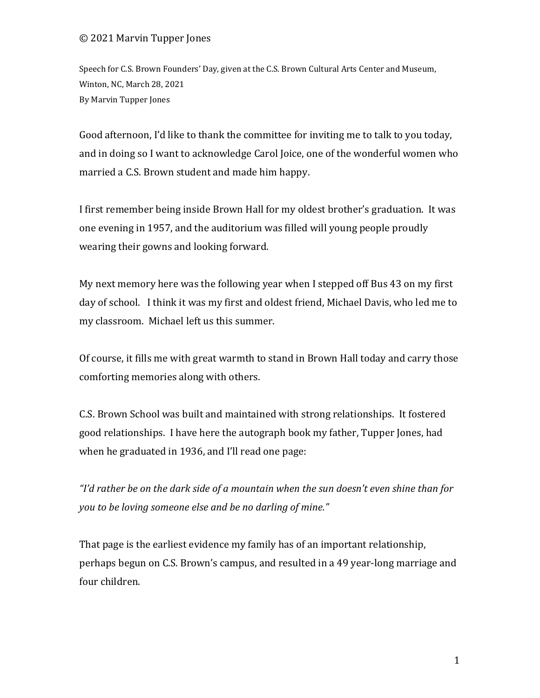#### © 2021 Marvin Tupper Jones

Speech for C.S. Brown Founders' Day, given at the C.S. Brown Cultural Arts Center and Museum, Winton, NC, March 28, 2021 By Marvin Tupper Jones

Good afternoon, I'd like to thank the committee for inviting me to talk to you today, and in doing so I want to acknowledge Carol Joice, one of the wonderful women who married a C.S. Brown student and made him happy.

I first remember being inside Brown Hall for my oldest brother's graduation. It was one evening in 1957, and the auditorium was filled will young people proudly wearing their gowns and looking forward.

My next memory here was the following year when I stepped off Bus 43 on my first day of school. I think it was my first and oldest friend, Michael Davis, who led me to my classroom. Michael left us this summer.

Of course, it fills me with great warmth to stand in Brown Hall today and carry those comforting memories along with others.

C.S. Brown School was built and maintained with strong relationships. It fostered good relationships. I have here the autograph book my father, Tupper Jones, had when he graduated in 1936, and I'll read one page:

"I'd rather be on the dark side of a mountain when the sun doesn't even shine than for you to be loving someone else and be no darling of mine."

That page is the earliest evidence my family has of an important relationship, perhaps begun on C.S. Brown's campus, and resulted in a 49 year-long marriage and four children.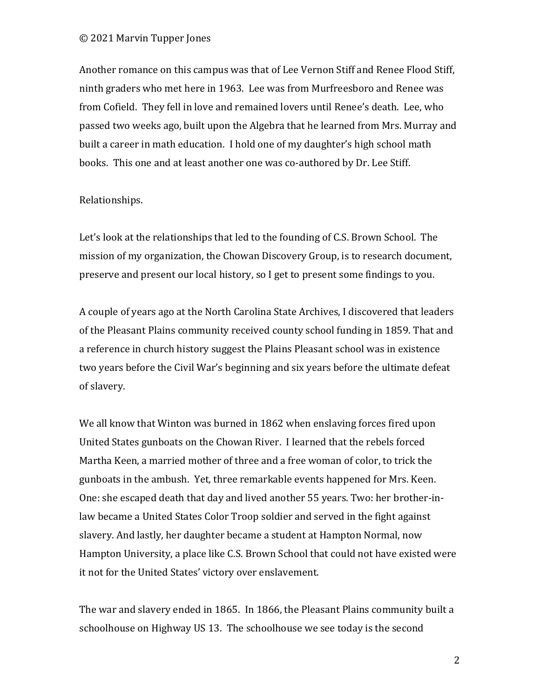#### © 2021 Marvin Tupper Jones

Another romance on this campus was that of Lee Vernon Stiff and Renee Flood Stiff, ninth graders who met here in 1963. Lee was from Murfreesboro and Renee was from Cofield. They fell in love and remained lovers until Renee's death. Lee, who passed two weeks ago, built upon the Algebra that he learned from Mrs. Murray and built a career in math education. I hold one of my daughter's high school math books. This one and at least another one was co-authored by Dr. Lee Stiff.

#### Relationships.

Let's look at the relationships that led to the founding of C.S. Brown School. The mission of my organization, the Chowan Discovery Group, is to research document, preserve and present our local history, so I get to present some findings to you.

A couple of years ago at the North Carolina State Archives, I discovered that leaders of the Pleasant Plains community received county school funding in 1859. That and a reference in church history suggest the Plains Pleasant school was in existence two years before the Civil War's beginning and six years before the ultimate defeat of slavery.

We all know that Winton was burned in 1862 when enslaving forces fired upon United States gunboats on the Chowan River. I learned that the rebels forced Martha Keen, a married mother of three and a free woman of color, to trick the gunboats in the ambush. Yet, three remarkable events happened for Mrs. Keen. One: she escaped death that day and lived another 55 years. Two: her brother-inlaw became a United States Color Troop soldier and served in the fight against slavery. And lastly, her daughter became a student at Hampton Normal, now Hampton University, a place like C.S. Brown School that could not have existed were it not for the United States' victory over enslavement.

The war and slavery ended in 1865. In 1866, the Pleasant Plains community built a schoolhouse on Highway US 13. The schoolhouse we see today is the second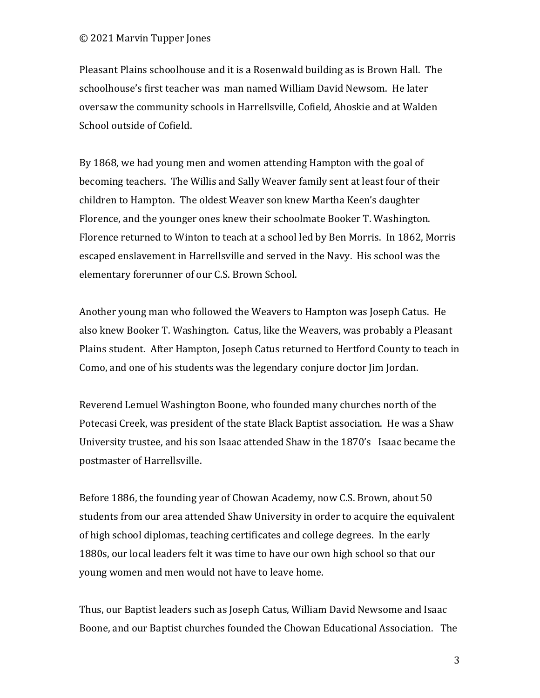Pleasant Plains schoolhouse and it is a Rosenwald building as is Brown Hall. The schoolhouse's first teacher was man named William David Newsom. He later oversaw the community schools in Harrellsville, Cofield, Ahoskie and at Walden School outside of Cofield.

By 1868, we had young men and women attending Hampton with the goal of becoming teachers. The Willis and Sally Weaver family sent at least four of their children to Hampton. The oldest Weaver son knew Martha Keen's daughter Florence, and the younger ones knew their schoolmate Booker T. Washington. Florence returned to Winton to teach at a school led by Ben Morris. In 1862, Morris escaped enslavement in Harrellsville and served in the Navy. His school was the elementary forerunner of our C.S. Brown School.

Another young man who followed the Weavers to Hampton was Joseph Catus. He also knew Booker T. Washington. Catus, like the Weavers, was probably a Pleasant Plains student. After Hampton, Joseph Catus returned to Hertford County to teach in Como, and one of his students was the legendary conjure doctor Jim Jordan.

Reverend Lemuel Washington Boone, who founded many churches north of the Potecasi Creek, was president of the state Black Baptist association. He was a Shaw University trustee, and his son Isaac attended Shaw in the 1870's Isaac became the postmaster of Harrellsville.

Before 1886, the founding year of Chowan Academy, now C.S. Brown, about 50 students from our area attended Shaw University in order to acquire the equivalent of high school diplomas, teaching certificates and college degrees. In the early 1880s, our local leaders felt it was time to have our own high school so that our young women and men would not have to leave home.

Thus, our Baptist leaders such as Joseph Catus, William David Newsome and Isaac Boone, and our Baptist churches founded the Chowan Educational Association. The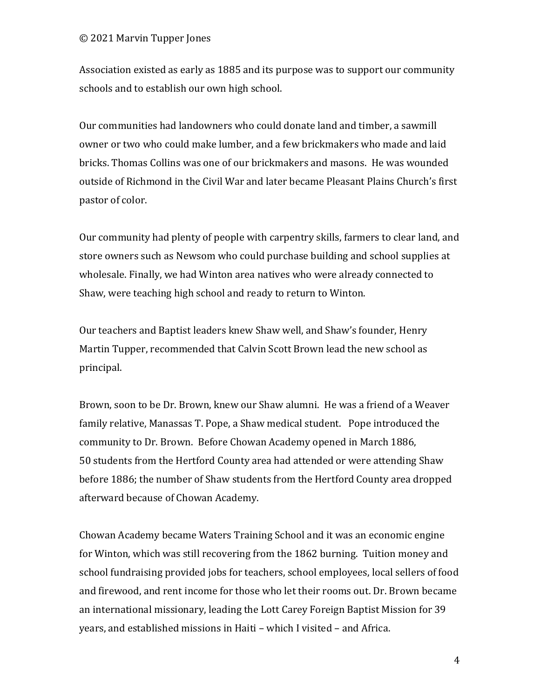#### © 2021 Marvin Tupper Jones

Association existed as early as 1885 and its purpose was to support our community schools and to establish our own high school.

Our communities had landowners who could donate land and timber, a sawmill owner or two who could make lumber, and a few brickmakers who made and laid bricks. Thomas Collins was one of our brickmakers and masons. He was wounded outside of Richmond in the Civil War and later became Pleasant Plains Church's first pastor of color.

Our community had plenty of people with carpentry skills, farmers to clear land, and store owners such as Newsom who could purchase building and school supplies at wholesale. Finally, we had Winton area natives who were already connected to Shaw, were teaching high school and ready to return to Winton.

Our teachers and Baptist leaders knew Shaw well, and Shaw's founder, Henry Martin Tupper, recommended that Calvin Scott Brown lead the new school as principal.

Brown, soon to be Dr. Brown, knew our Shaw alumni. He was a friend of a Weaver family relative, Manassas T. Pope, a Shaw medical student. Pope introduced the community to Dr. Brown. Before Chowan Academy opened in March 1886, 50 students from the Hertford County area had attended or were attending Shaw before 1886; the number of Shaw students from the Hertford County area dropped afterward because of Chowan Academy.

Chowan Academy became Waters Training School and it was an economic engine for Winton, which was still recovering from the 1862 burning. Tuition money and school fundraising provided jobs for teachers, school employees, local sellers of food and firewood, and rent income for those who let their rooms out. Dr. Brown became an international missionary, leading the Lott Carey Foreign Baptist Mission for 39 years, and established missions in Haiti – which I visited – and Africa.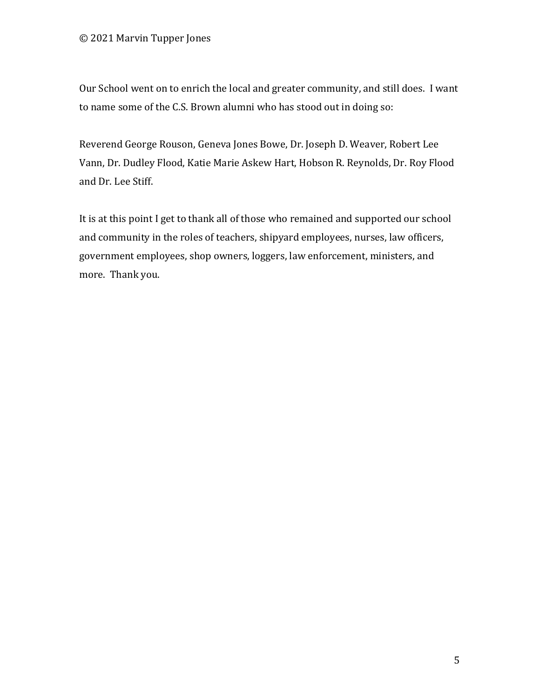Our School went on to enrich the local and greater community, and still does. I want to name some of the C.S. Brown alumni who has stood out in doing so:

Reverend George Rouson, Geneva Jones Bowe, Dr. Joseph D. Weaver, Robert Lee Vann, Dr. Dudley Flood, Katie Marie Askew Hart, Hobson R. Reynolds, Dr. Roy Flood and Dr. Lee Stiff.

It is at this point I get to thank all of those who remained and supported our school and community in the roles of teachers, shipyard employees, nurses, law officers, government employees, shop owners, loggers, law enforcement, ministers, and more. Thank you.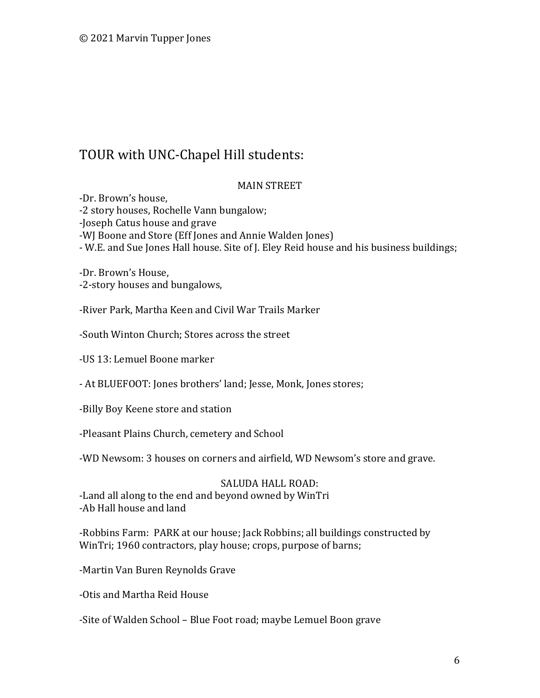# TOUR with UNC-Chapel Hill students:

#### MAIN STREET

-Dr. Brown's house, -2 story houses, Rochelle Vann bungalow; -Joseph Catus house and grave -WJ Boone and Store (Eff Jones and Annie Walden Jones) - W.E. and Sue Jones Hall house. Site of J. Eley Reid house and his business buildings;

-Dr. Brown's House, -2-story houses and bungalows,

-River Park, Martha Keen and Civil War Trails Marker

-South Winton Church; Stores across the street

-US 13: Lemuel Boone marker

- At BLUEFOOT: Jones brothers' land; Jesse, Monk, Jones stores;

-Billy Boy Keene store and station

-Pleasant Plains Church, cemetery and School

-WD Newsom: 3 houses on corners and airfield, WD Newsom's store and grave.

#### SALUDA HALL ROAD:

-Land all along to the end and beyond owned by WinTri -Ab Hall house and land

-Robbins Farm: PARK at our house; Jack Robbins; all buildings constructed by WinTri; 1960 contractors, play house; crops, purpose of barns;

-Martin Van Buren Reynolds Grave

-Otis and Martha Reid House

-Site of Walden School – Blue Foot road; maybe Lemuel Boon grave